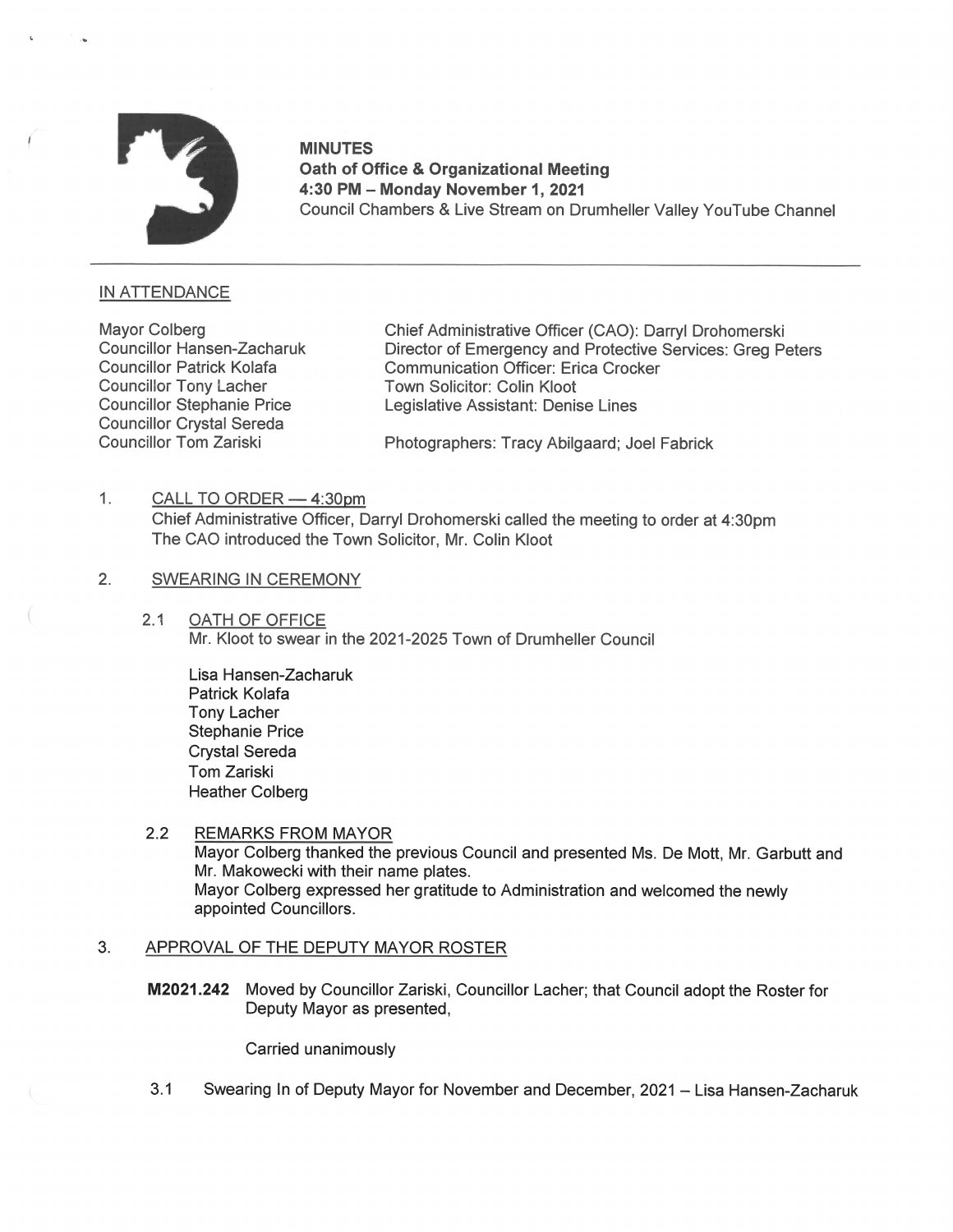

MINUTES Oath of Office & Organizational Meeting 4:30 PM — Monday November 1, 2021 Council Chambers & Live Stream on Drumheller Valley YouTube Channel

# IN ATTENDANCE

Councillor Crystal Sereda

Mayor Colberg Chief Administrative Officer (CAO): Darryl Drohomerski<br>Councillor Hansen-Zacharuk Director of Emergency and Protective Services: Greg Po Director of Emergency and Protective Services: Greg Peters Councillor Patrick Kolafa<br>
Communication Officer: Erica Crocker<br>
Councillor Tony Lacher<br>
Town Solicitor: Colin Kloot Town Solicitor: Colin Kloot Councillor Stephanie Price Legislative Assistant: Denise Lines

Councillor Tom Zariski Photographers: Tracy Abilgaard; Joel Fabrick

1. CALL TO ORDER - 4:30pm

Chief Administrative Officer, Darryl Drohomerski called the meeting to order at 4:30pm The CAO introduced the Town Solicitor, Mr. Colin Kloot

- 2. SWEARING IN CEREMONY
	- 2.1 OATH OF OFFICE Mr. Kloot to swear in the 2021-2025 Town of Drumheller Council

Lisa Hansen-Zacharuk Patrick Kolafa Tony Lacher Stephanie Price Crystal Sereda Tom Zariski Heather Colberg

2.2 REMARKS FROM MAYOR Mayor Colberg thanked the previous Council and presented Ms. De Mott, Mr. Garbutt and Mr. Makowecki with their name plates. Mayor Colberg expressed her gratitude to Administration and welcomed the newly appointed Councillors.

#### $3.$ APPROVAL OF THE DEPUTY MAYOR ROSTER

M2021.242 Moved by Councillor Zariski, Councillor Lacher; that Council adopt the Roster for Deputy Mayor as presented,

Carried unanimously

3.1 Swearing In of Deputy Mayor for November and December, 2021 — Lisa Hansen-Zacharuk